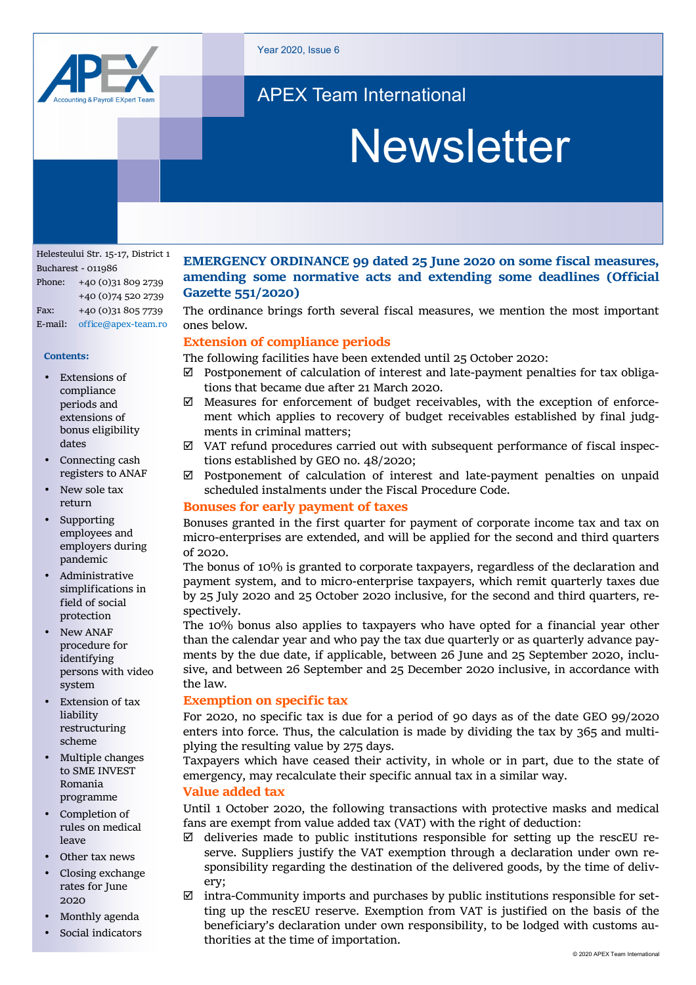

Year 2020, Issue 6

# APEX Team International

# Newsletter

Helesteului Str. 15-17, District 1 Bucharest - 011986 Phone: +40 (0)31 809 2739 +40 (0)74 520 2739 Fax: +40 (0)31 805 7739 E-mail: office@apex-team.ro

#### **Contents:**

- **Extensions of** compliance periods and extensions of bonus eligibility dates
- Connecting cash registers to ANAF
- New sole tax return
- **Supporting** employees and employers during pandemic
- Administrative simplifications in field of social protection
- New ANAF procedure for identifying persons with video system
- **Extension of tax** liability restructuring scheme
- Multiple changes to SME INVEST Romania programme
- Completion of rules on medical leave
- Other tax news
- Closing exchange rates for June 2020
- Monthly agenda
- Social indicators

# **EMERGENCY ORDINANCE 99 dated 25 June 2020 on some fiscal measures, amending some normative acts and extending some deadlines (Official Gazette 551/2020)**

The ordinance brings forth several fiscal measures, we mention the most important ones below.

#### **Extension of compliance periods**

The following facilities have been extended until 25 October 2020:

- $\boxtimes$  Postponement of calculation of interest and late-payment penalties for tax obligations that became due after 21 March 2020.
- $\boxtimes$  Measures for enforcement of budget receivables, with the exception of enforcement which applies to recovery of budget receivables established by final judgments in criminal matters;
- $\boxtimes$  VAT refund procedures carried out with subsequent performance of fiscal inspections established by GEO no. 48/2020;
- $\boxtimes$  Postponement of calculation of interest and late-payment penalties on unpaid scheduled instalments under the Fiscal Procedure Code.

#### **Bonuses for early payment of taxes**

Bonuses granted in the first quarter for payment of corporate income tax and tax on micro-enterprises are extended, and will be applied for the second and third quarters of 2020.

The bonus of 10% is granted to corporate taxpayers, regardless of the declaration and payment system, and to micro-enterprise taxpayers, which remit quarterly taxes due by 25 July 2020 and 25 October 2020 inclusive, for the second and third quarters, respectively.

The 10% bonus also applies to taxpayers who have opted for a financial year other than the calendar year and who pay the tax due quarterly or as quarterly advance payments by the due date, if applicable, between 26 June and 25 September 2020, inclusive, and between 26 September and 25 December 2020 inclusive, in accordance with the law.

#### **Exemption on specific tax**

For 2020, no specific tax is due for a period of 90 days as of the date GEO 99/2020 enters into force. Thus, the calculation is made by dividing the tax by 365 and multiplying the resulting value by 275 days.

Taxpayers which have ceased their activity, in whole or in part, due to the state of emergency, may recalculate their specific annual tax in a similar way.

#### **Value added tax**

Until 1 October 2020, the following transactions with protective masks and medical fans are exempt from value added tax (VAT) with the right of deduction:

- $\boxtimes$  deliveries made to public institutions responsible for setting up the rescEU reserve. Suppliers justify the VAT exemption through a declaration under own responsibility regarding the destination of the delivered goods, by the time of delivery;
- $\boxtimes$  intra-Community imports and purchases by public institutions responsible for setting up the rescEU reserve. Exemption from VAT is justified on the basis of the beneficiary's declaration under own responsibility, to be lodged with customs authorities at the time of importation.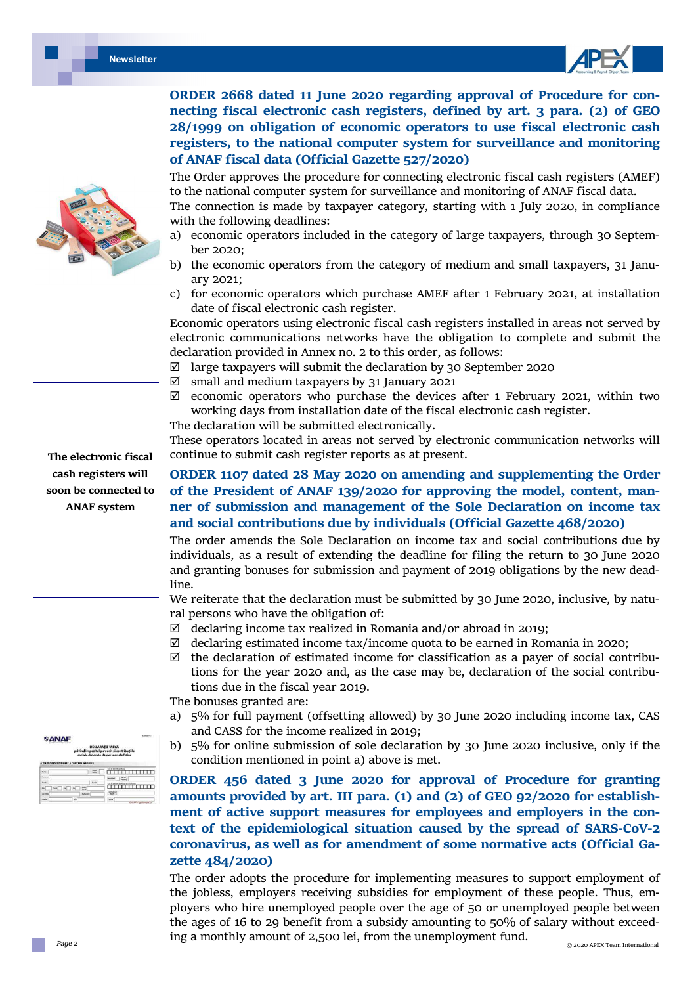

**ORDER 2668 dated 11 June 2020 regarding approval of Procedure for con‐ necting fiscal electronic cash registers, defined by art. 3 para. (2) of GEO 28/1999 on obligation of economic operators to use fiscal electronic cash registers, to the national computer system for surveillance and monitoring of ANAF fiscal data (Official Gazette 527/2020)** 

The Order approves the procedure for connecting electronic fiscal cash registers (AMEF) to the national computer system for surveillance and monitoring of ANAF fiscal data.

The connection is made by taxpayer category, starting with 1 July 2020, in compliance with the following deadlines:

- a) economic operators included in the category of large taxpayers, through 30 September 2020;
- b) the economic operators from the category of medium and small taxpayers, 31 January 2021;
- c) for economic operators which purchase AMEF after 1 February 2021, at installation date of fiscal electronic cash register.

Economic operators using electronic fiscal cash registers installed in areas not served by electronic communications networks have the obligation to complete and submit the declaration provided in Annex no. 2 to this order, as follows:

- $\boxtimes$  large taxpayers will submit the declaration by 30 September 2020
- $\boxtimes$  small and medium taxpayers by 31 January 2021
- $\boxtimes$  economic operators who purchase the devices after 1 February 2021, within two working days from installation date of the fiscal electronic cash register.
- The declaration will be submitted electronically.

These operators located in areas not served by electronic communication networks will continue to submit cash register reports as at present.

# **ORDER 1107 dated 28 May 2020 on amending and supplementing the Order of the President of ANAF 139/2020 for approving the model, content, man‐ ner of submission and management of the Sole Declaration on income tax and social contributions due by individuals (Official Gazette 468/2020)**

The order amends the Sole Declaration on income tax and social contributions due by individuals, as a result of extending the deadline for filing the return to 30 June 2020 and granting bonuses for submission and payment of 2019 obligations by the new deadline.

We reiterate that the declaration must be submitted by 30 June 2020, inclusive, by natural persons who have the obligation of:

- $\boxtimes$  declaring income tax realized in Romania and/or abroad in 2019;
- $\boxtimes$  declaring estimated income tax/income quota to be earned in Romania in 2020;
- $\boxtimes$  the declaration of estimated income for classification as a payer of social contributions for the year 2020 and, as the case may be, declaration of the social contributions due in the fiscal year 2019.

The bonuses granted are:

- a) 5% for full payment (offsetting allowed) by 30 June 2020 including income tax, CAS and CASS for the income realized in 2019;
- b) 5% for online submission of sole declaration by 30 June 2020 inclusive, only if the condition mentioned in point a) above is met.

**ORDER 456 dated 3 June 2020 for approval of Procedure for granting amounts provided by art. III para. (1) and (2) of GEO 92/2020 for establish‐ ment of active support measures for employees and employers in the con‐ text of the epidemiological situation caused by the spread of SARS‐CoV‐2 coronavirus, as well as for amendment of some normative acts (Official Ga‐ zette 484/2020)** 

The order adopts the procedure for implementing measures to support employment of the jobless, employers receiving subsidies for employment of these people. Thus, employers who hire unemployed people over the age of 50 or unemployed people between the ages of 16 to 29 benefit from a subsidy amounting to 50% of salary without exceeding a monthly amount of 2,500 lei, from the unemployment fund.



**The electronic fiscal cash registers will soon be connected to ANAF system** 

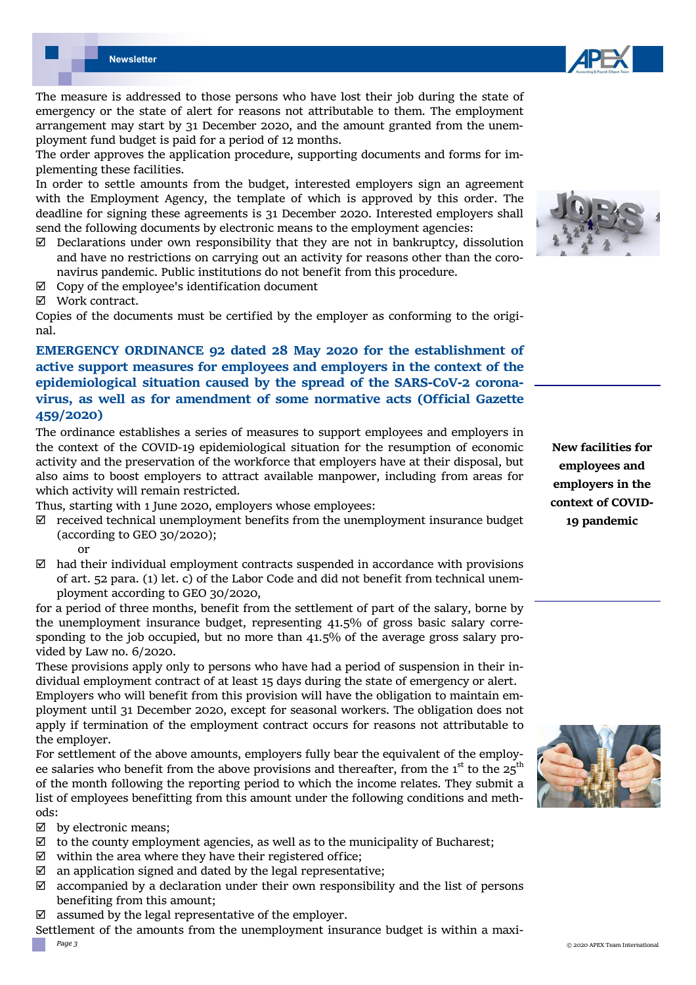

The order approves the application procedure, supporting documents and forms for implementing these facilities.

In order to settle amounts from the budget, interested employers sign an agreement with the Employment Agency, the template of which is approved by this order. The deadline for signing these agreements is 31 December 2020. Interested employers shall send the following documents by electronic means to the employment agencies:

- $\boxtimes$  Declarations under own responsibility that they are not in bankruptcy, dissolution and have no restrictions on carrying out an activity for reasons other than the coronavirus pandemic. Public institutions do not benefit from this procedure.
- $\boxtimes$  Copy of the employee's identification document
- Work contract.

Copies of the documents must be certified by the employer as conforming to the original.

# **EMERGENCY ORDINANCE 92 dated 28 May 2020 for the establishment of active support measures for employees and employers in the context of the epidemiological situation caused by the spread of the SARS‐CoV‐2 corona‐ virus, as well as for amendment of some normative acts (Official Gazette 459/2020)**

The ordinance establishes a series of measures to support employees and employers in the context of the COVID-19 epidemiological situation for the resumption of economic activity and the preservation of the workforce that employers have at their disposal, but also aims to boost employers to attract available manpower, including from areas for which activity will remain restricted.

Thus, starting with 1 June 2020, employers whose employees:

- $\boxtimes$  received technical unemployment benefits from the unemployment insurance budget (according to GEO 30/2020);
	- or
- $\boxtimes$  had their individual employment contracts suspended in accordance with provisions of art. 52 para. (1) let. c) of the Labor Code and did not benefit from technical unemployment according to GEO 30/2020,

for a period of three months, benefit from the settlement of part of the salary, borne by the unemployment insurance budget, representing 41.5% of gross basic salary corresponding to the job occupied, but no more than 41.5% of the average gross salary provided by Law no. 6/2020.

These provisions apply only to persons who have had a period of suspension in their individual employment contract of at least 15 days during the state of emergency or alert.

Employers who will benefit from this provision will have the obligation to maintain employment until 31 December 2020, except for seasonal workers. The obligation does not apply if termination of the employment contract occurs for reasons not attributable to the employer.

For settlement of the above amounts, employers fully bear the equivalent of the employee salaries who benefit from the above provisions and thereafter, from the  $1<sup>st</sup>$  to the  $25<sup>th</sup>$ of the month following the reporting period to which the income relates. They submit a list of employees benefitting from this amount under the following conditions and methods:

 $\boxtimes$  by electronic means:

- $\boxtimes$  to the county employment agencies, as well as to the municipality of Bucharest;
- $\boxtimes$  within the area where they have their registered office:
- $\boxtimes$  an application signed and dated by the legal representative;
- $\boxtimes$  accompanied by a declaration under their own responsibility and the list of persons benefiting from this amount;
- $\boxtimes$  assumed by the legal representative of the employer.

Settlement of the amounts from the unemployment insurance budget is within a maxi-



**New facilities for employees and employers in the context of COVID‐ 19 pandemic** 



*Page 3*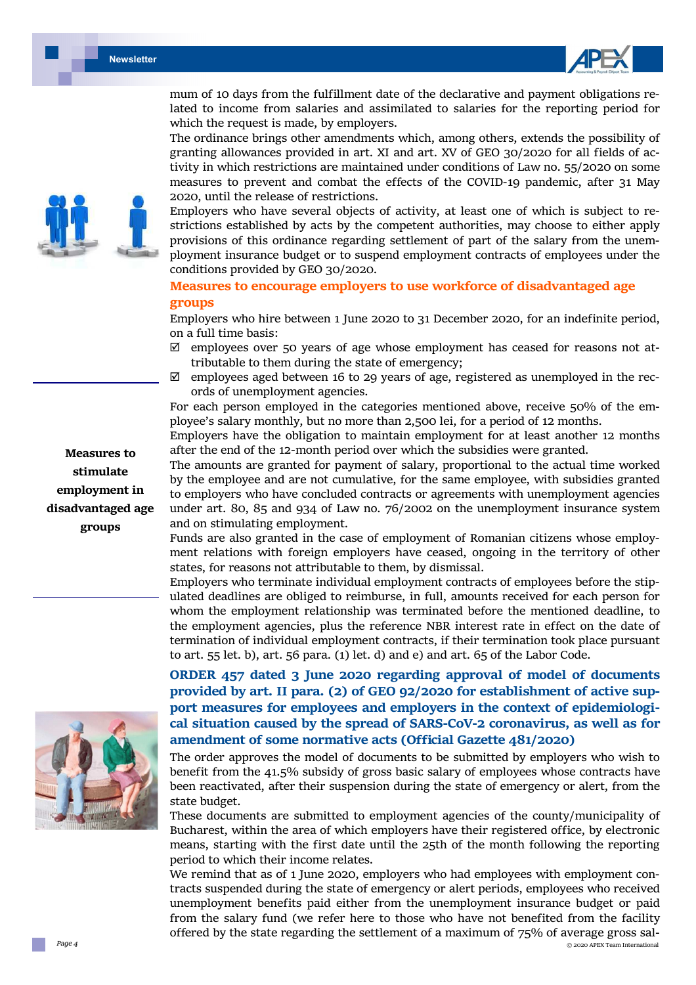



mum of 10 days from the fulfillment date of the declarative and payment obligations related to income from salaries and assimilated to salaries for the reporting period for which the request is made, by employers.

The ordinance brings other amendments which, among others, extends the possibility of granting allowances provided in art. XI and art. XV of GEO 30/2020 for all fields of activity in which restrictions are maintained under conditions of Law no. 55/2020 on some measures to prevent and combat the effects of the COVID-19 pandemic, after 31 May 2020, until the release of restrictions.

Employers who have several objects of activity, at least one of which is subject to restrictions established by acts by the competent authorities, may choose to either apply provisions of this ordinance regarding settlement of part of the salary from the unemployment insurance budget or to suspend employment contracts of employees under the conditions provided by GEO 30/2020.

### **Measures to encourage employers to use workforce of disadvantaged age groups**

Employers who hire between 1 June 2020 to 31 December 2020, for an indefinite period, on a full time basis:

- $\boxtimes$  employees over 50 years of age whose employment has ceased for reasons not attributable to them during the state of emergency;
- $\boxtimes$  employees aged between 16 to 29 years of age, registered as unemployed in the records of unemployment agencies.

For each person employed in the categories mentioned above, receive 50% of the employee's salary monthly, but no more than 2,500 lei, for a period of 12 months.

Employers have the obligation to maintain employment for at least another 12 months after the end of the 12-month period over which the subsidies were granted.

The amounts are granted for payment of salary, proportional to the actual time worked by the employee and are not cumulative, for the same employee, with subsidies granted to employers who have concluded contracts or agreements with unemployment agencies under art. 80, 85 and 934 of Law no. 76/2002 on the unemployment insurance system and on stimulating employment.

Funds are also granted in the case of employment of Romanian citizens whose employment relations with foreign employers have ceased, ongoing in the territory of other states, for reasons not attributable to them, by dismissal.

Employers who terminate individual employment contracts of employees before the stipulated deadlines are obliged to reimburse, in full, amounts received for each person for whom the employment relationship was terminated before the mentioned deadline, to the employment agencies, plus the reference NBR interest rate in effect on the date of termination of individual employment contracts, if their termination took place pursuant to art. 55 let. b), art. 56 para. (1) let. d) and e) and art. 65 of the Labor Code.

# **ORDER 457 dated 3 June 2020 regarding approval of model of documents provided by art. II para. (2) of GEO 92/2020 for establishment of active sup‐ port measures for employees and employers in the context of epidemiologi‐ cal situation caused by the spread of SARS‐CoV‐2 coronavirus, as well as for amendment of some normative acts (Official Gazette 481/2020)**

The order approves the model of documents to be submitted by employers who wish to benefit from the 41.5% subsidy of gross basic salary of employees whose contracts have been reactivated, after their suspension during the state of emergency or alert, from the state budget.

These documents are submitted to employment agencies of the county/municipality of Bucharest, within the area of which employers have their registered office, by electronic means, starting with the first date until the 25th of the month following the reporting period to which their income relates.

 © 2020 APEX Team International We remind that as of 1 June 2020, employers who had employees with employment contracts suspended during the state of emergency or alert periods, employees who received unemployment benefits paid either from the unemployment insurance budget or paid from the salary fund (we refer here to those who have not benefited from the facility offered by the state regarding the settlement of a maximum of 75% of average gross sal-



**Measures to stimulate employment in disadvantaged age groups** 

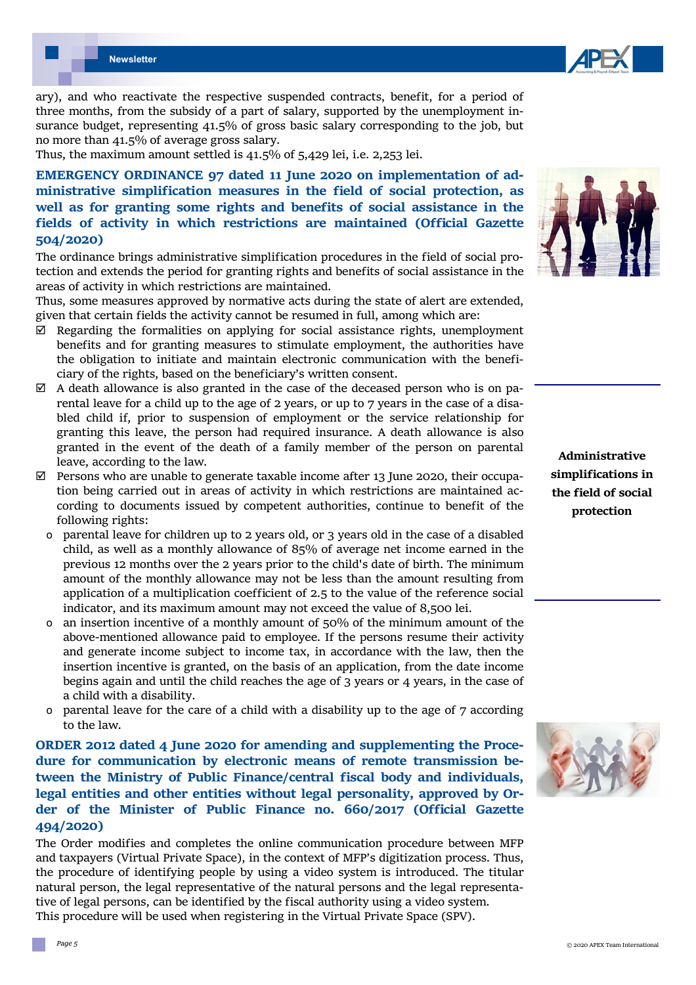

ary), and who reactivate the respective suspended contracts, benefit, for a period of three months, from the subsidy of a part of salary, supported by the unemployment insurance budget, representing 41.5% of gross basic salary corresponding to the job, but no more than 41.5% of average gross salary.

Thus, the maximum amount settled is 41.5% of 5,429 lei, i.e. 2,253 lei.

**EMERGENCY ORDINANCE 97 dated 11 June 2020 on implementation of ad‐ ministrative simplification measures in the field of social protection, as well as for granting some rights and benefits of social assistance in the fields of activity in which restrictions are maintained (Official Gazette 504/2020)** 

The ordinance brings administrative simplification procedures in the field of social protection and extends the period for granting rights and benefits of social assistance in the areas of activity in which restrictions are maintained.

Thus, some measures approved by normative acts during the state of alert are extended, given that certain fields the activity cannot be resumed in full, among which are:

- $\boxtimes$  Regarding the formalities on applying for social assistance rights, unemployment benefits and for granting measures to stimulate employment, the authorities have the obligation to initiate and maintain electronic communication with the beneficiary of the rights, based on the beneficiary's written consent.
- $\boxtimes$  A death allowance is also granted in the case of the deceased person who is on parental leave for a child up to the age of 2 years, or up to 7 years in the case of a disabled child if, prior to suspension of employment or the service relationship for granting this leave, the person had required insurance. A death allowance is also granted in the event of the death of a family member of the person on parental leave, according to the law.
- $\boxtimes$  Persons who are unable to generate taxable income after 13 June 2020, their occupation being carried out in areas of activity in which restrictions are maintained according to documents issued by competent authorities, continue to benefit of the following rights:
	- ο parental leave for children up to 2 years old, or 3 years old in the case of a disabled child, as well as a monthly allowance of 85% of average net income earned in the previous 12 months over the 2 years prior to the child's date of birth. The minimum amount of the monthly allowance may not be less than the amount resulting from application of a multiplication coefficient of 2.5 to the value of the reference social indicator, and its maximum amount may not exceed the value of 8,500 lei.
	- an insertion incentive of a monthly amount of  $50\%$  of the minimum amount of the above-mentioned allowance paid to employee. If the persons resume their activity and generate income subject to income tax, in accordance with the law, then the insertion incentive is granted, on the basis of an application, from the date income begins again and until the child reaches the age of 3 years or 4 years, in the case of a child with a disability.
	- ο parental leave for the care of a child with a disability up to the age of 7 according to the law.

**ORDER 2012 dated 4 June 2020 for amending and supplementing the Proce‐ dure for communication by electronic means of remote transmission be‐ tween the Ministry of Public Finance/central fiscal body and individuals, legal entities and other entities without legal personality, approved by Or‐ der of the Minister of Public Finance no. 660/2017 (Official Gazette 494/2020)** 

The Order modifies and completes the online communication procedure between MFP and taxpayers (Virtual Private Space), in the context of MFP's digitization process. Thus, the procedure of identifying people by using a video system is introduced. The titular natural person, the legal representative of the natural persons and the legal representative of legal persons, can be identified by the fiscal authority using a video system. This procedure will be used when registering in the Virtual Private Space (SPV).



**Administrative simplifications in the field of social protection** 

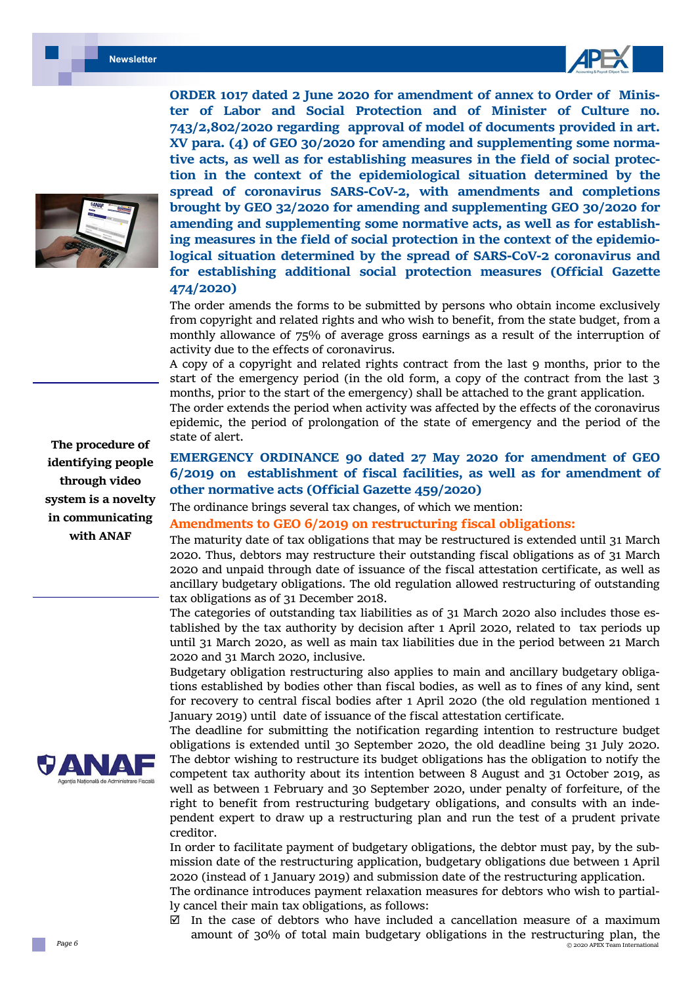



**The procedure of identifying people through video system is a novelty in communicating with ANAF** 



**ORDER 1017 dated 2 June 2020 for amendment of annex to Order of Minis‐ ter of Labor and Social Protection and of Minister of Culture no. 743/2,802/2020 regarding approval of model of documents provided in art. XV para. (4) of GEO 30/2020 for amending and supplementing some norma‐ tive acts, as well as for establishing measures in the field of social protec‐ tion in the context of the epidemiological situation determined by the spread of coronavirus SARS‐CoV‐2, with amendments and completions brought by GEO 32/2020 for amending and supplementing GEO 30/2020 for amending and supplementing some normative acts, as well as for establish‐ ing measures in the field of social protection in the context of the epidemio‐ logical situation determined by the spread of SARS‐CoV‐2 coronavirus and for establishing additional social protection measures (Official Gazette 474/2020)** 

The order amends the forms to be submitted by persons who obtain income exclusively from copyright and related rights and who wish to benefit, from the state budget, from a monthly allowance of 75% of average gross earnings as a result of the interruption of activity due to the effects of coronavirus.

A copy of a copyright and related rights contract from the last 9 months, prior to the start of the emergency period (in the old form, a copy of the contract from the last 3 months, prior to the start of the emergency) shall be attached to the grant application.

The order extends the period when activity was affected by the effects of the coronavirus epidemic, the period of prolongation of the state of emergency and the period of the state of alert.

# **EMERGENCY ORDINANCE 90 dated 27 May 2020 for amendment of GEO 6/2019 on establishment of fiscal facilities, as well as for amendment of other normative acts (Official Gazette 459/2020)**

The ordinance brings several tax changes, of which we mention:

#### **Amendments to GEO 6/2019 on restructuring fiscal obligations:**

The maturity date of tax obligations that may be restructured is extended until 31 March 2020. Thus, debtors may restructure their outstanding fiscal obligations as of 31 March 2020 and unpaid through date of issuance of the fiscal attestation certificate, as well as ancillary budgetary obligations. The old regulation allowed restructuring of outstanding tax obligations as of 31 December 2018.

The categories of outstanding tax liabilities as of 31 March 2020 also includes those established by the tax authority by decision after 1 April 2020, related to tax periods up until 31 March 2020, as well as main tax liabilities due in the period between 21 March 2020 and 31 March 2020, inclusive.

Budgetary obligation restructuring also applies to main and ancillary budgetary obligations established by bodies other than fiscal bodies, as well as to fines of any kind, sent for recovery to central fiscal bodies after 1 April 2020 (the old regulation mentioned 1 January 2019) until date of issuance of the fiscal attestation certificate.

The deadline for submitting the notification regarding intention to restructure budget obligations is extended until 30 September 2020, the old deadline being 31 July 2020. The debtor wishing to restructure its budget obligations has the obligation to notify the competent tax authority about its intention between 8 August and 31 October 2019, as well as between 1 February and 30 September 2020, under penalty of forfeiture, of the right to benefit from restructuring budgetary obligations, and consults with an independent expert to draw up a restructuring plan and run the test of a prudent private creditor.

In order to facilitate payment of budgetary obligations, the debtor must pay, by the submission date of the restructuring application, budgetary obligations due between 1 April 2020 (instead of 1 January 2019) and submission date of the restructuring application.

The ordinance introduces payment relaxation measures for debtors who wish to partially cancel their main tax obligations, as follows:

 © 2020 APEX Team International  $\boxtimes$  In the case of debtors who have included a cancellation measure of a maximum amount of 30% of total main budgetary obligations in the restructuring plan, the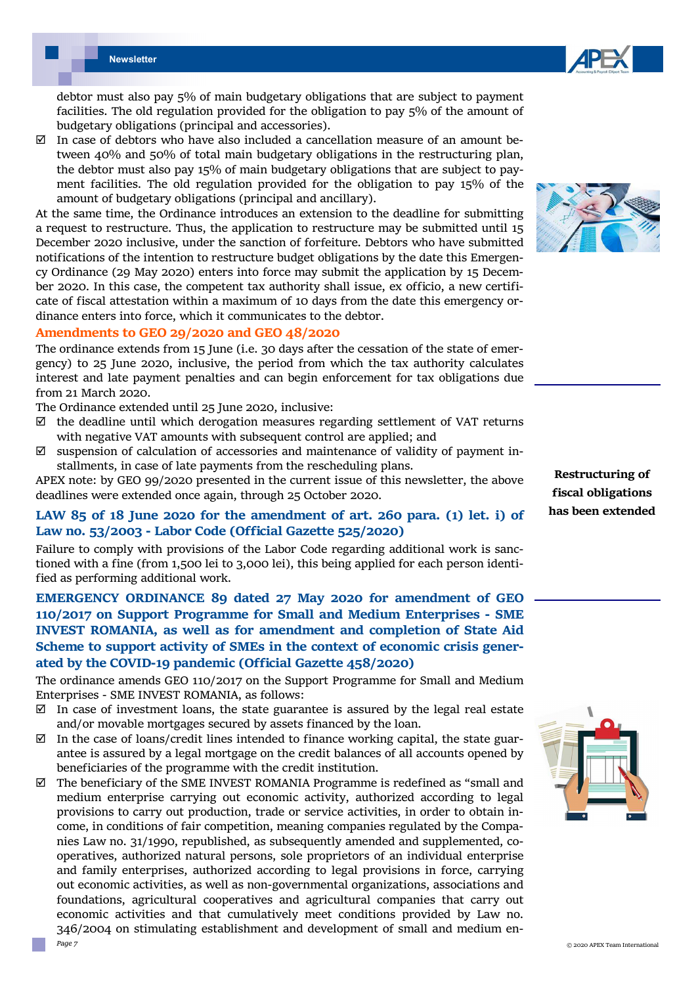

debtor must also pay 5% of main budgetary obligations that are subject to payment facilities. The old regulation provided for the obligation to pay 5% of the amount of budgetary obligations (principal and accessories).

 $\boxtimes$  In case of debtors who have also included a cancellation measure of an amount between 40% and 50% of total main budgetary obligations in the restructuring plan, the debtor must also pay 15% of main budgetary obligations that are subject to payment facilities. The old regulation provided for the obligation to pay 15% of the amount of budgetary obligations (principal and ancillary).

At the same time, the Ordinance introduces an extension to the deadline for submitting a request to restructure. Thus, the application to restructure may be submitted until 15 December 2020 inclusive, under the sanction of forfeiture. Debtors who have submitted notifications of the intention to restructure budget obligations by the date this Emergency Ordinance (29 May 2020) enters into force may submit the application by 15 December 2020. In this case, the competent tax authority shall issue, ex officio, a new certificate of fiscal attestation within a maximum of 10 days from the date this emergency ordinance enters into force, which it communicates to the debtor.

#### **Amendments to GEO 29/2020 and GEO 48/2020**

The ordinance extends from 15 June (i.e. 30 days after the cessation of the state of emergency) to 25 June 2020, inclusive, the period from which the tax authority calculates interest and late payment penalties and can begin enforcement for tax obligations due from 21 March 2020.

The Ordinance extended until 25 June 2020, inclusive:

- $\boxtimes$  the deadline until which derogation measures regarding settlement of VAT returns with negative VAT amounts with subsequent control are applied; and
- $\boxtimes$  suspension of calculation of accessories and maintenance of validity of payment installments, in case of late payments from the rescheduling plans.

APEX note: by GEO 99/2020 presented in the current issue of this newsletter, the above deadlines were extended once again, through 25 October 2020.

## **LAW 85 of 18 June 2020 for the amendment of art. 260 para. (1) let. i) of Law no. 53/2003 ‐ Labor Code (Official Gazette 525/2020)**

Failure to comply with provisions of the Labor Code regarding additional work is sanctioned with a fine (from 1,500 lei to 3,000 lei), this being applied for each person identified as performing additional work.

**EMERGENCY ORDINANCE 89 dated 27 May 2020 for amendment of GEO 110/2017 on Support Programme for Small and Medium Enterprises ‐ SME INVEST ROMANIA, as well as for amendment and completion of State Aid Scheme to support activity of SMEs in the context of economic crisis gener‐ ated by the COVID‐19 pandemic (Official Gazette 458/2020)** 

The ordinance amends GEO 110/2017 on the Support Programme for Small and Medium Enterprises - SME INVEST ROMANIA, as follows:

- $\boxtimes$  In case of investment loans, the state guarantee is assured by the legal real estate and/or movable mortgages secured by assets financed by the loan.
- $\boxtimes$  In the case of loans/credit lines intended to finance working capital, the state guarantee is assured by a legal mortgage on the credit balances of all accounts opened by beneficiaries of the programme with the credit institution.
- *Page 7*   $\boxtimes$  The beneficiary of the SME INVEST ROMANIA Programme is redefined as "small and medium enterprise carrying out economic activity, authorized according to legal provisions to carry out production, trade or service activities, in order to obtain income, in conditions of fair competition, meaning companies regulated by the Companies Law no. 31/1990, republished, as subsequently amended and supplemented, cooperatives, authorized natural persons, sole proprietors of an individual enterprise and family enterprises, authorized according to legal provisions in force, carrying out economic activities, as well as non-governmental organizations, associations and foundations, agricultural cooperatives and agricultural companies that carry out economic activities and that cumulatively meet conditions provided by Law no. 346/2004 on stimulating establishment and development of small and medium en-



**Restructuring of fiscal obligations has been extended** 

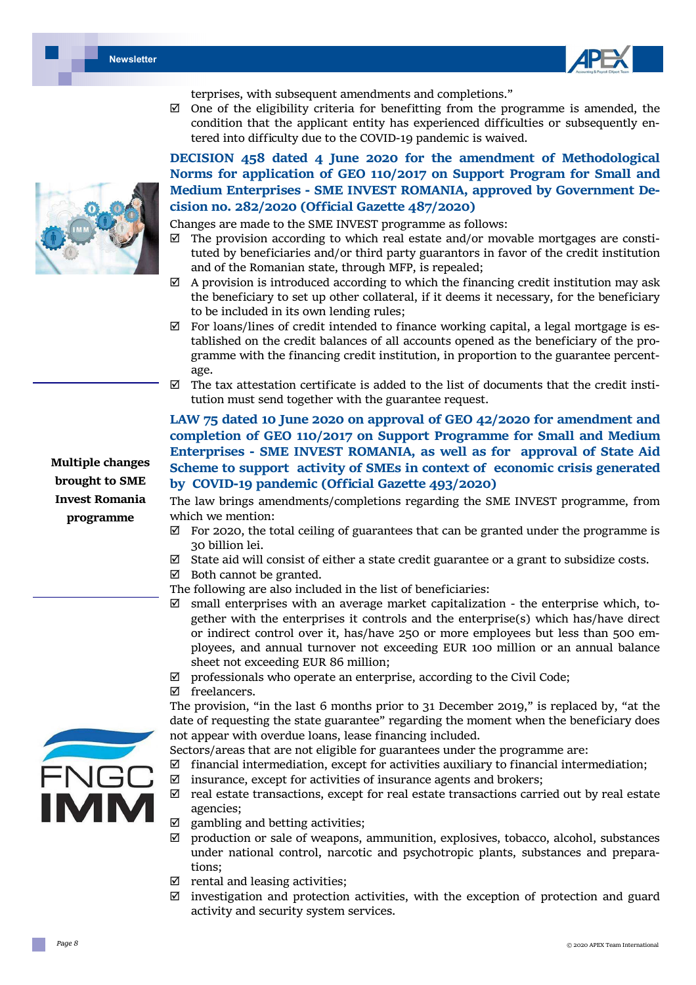



terprises, with subsequent amendments and completions."

 $\boxtimes$  One of the eligibility criteria for benefitting from the programme is amended, the condition that the applicant entity has experienced difficulties or subsequently entered into difficulty due to the COVID-19 pandemic is waived.

# **DECISION 458 dated 4 June 2020 for the amendment of Methodological Norms for application of GEO 110/2017 on Support Program for Small and Medium Enterprises ‐ SME INVEST ROMANIA, approved by Government De‐ cision no. 282/2020 (Official Gazette 487/2020)**

Changes are made to the SME INVEST programme as follows:

- $\boxtimes$  The provision according to which real estate and/or movable mortgages are constituted by beneficiaries and/or third party guarantors in favor of the credit institution and of the Romanian state, through MFP, is repealed;
- $\boxtimes$  A provision is introduced according to which the financing credit institution may ask the beneficiary to set up other collateral, if it deems it necessary, for the beneficiary to be included in its own lending rules;
- $\boxtimes$  For loans/lines of credit intended to finance working capital, a legal mortgage is established on the credit balances of all accounts opened as the beneficiary of the programme with the financing credit institution, in proportion to the guarantee percentage.
- $\boxtimes$  The tax attestation certificate is added to the list of documents that the credit institution must send together with the guarantee request.

# **LAW 75 dated 10 June 2020 on approval of GEO 42/2020 for amendment and completion of GEO 110/2017 on Support Programme for Small and Medium Enterprises ‐ SME INVEST ROMANIA, as well as for approval of State Aid Scheme to support activity of SMEs in context of economic crisis generated by COVID‐19 pandemic (Official Gazette 493/2020)**

The law brings amendments/completions regarding the SME INVEST programme, from which we mention:

- $\boxtimes$  For 2020, the total ceiling of guarantees that can be granted under the programme is 30 billion lei.
- $\boxtimes$  State aid will consist of either a state credit guarantee or a grant to subsidize costs.
- $\boxtimes$  Both cannot be granted.
- The following are also included in the list of beneficiaries:
- $\boxtimes$  small enterprises with an average market capitalization the enterprise which, together with the enterprises it controls and the enterprise(s) which has/have direct or indirect control over it, has/have 250 or more employees but less than 500 employees, and annual turnover not exceeding EUR 100 million or an annual balance sheet not exceeding EUR 86 million;
- $\boxtimes$  professionals who operate an enterprise, according to the Civil Code;
- □ freelancers.

The provision, "in the last 6 months prior to 31 December 2019," is replaced by, "at the date of requesting the state guarantee" regarding the moment when the beneficiary does not appear with overdue loans, lease financing included.

Sectors/areas that are not eligible for guarantees under the programme are:

- $\boxtimes$  financial intermediation, except for activities auxiliary to financial intermediation;
- $\boxtimes$  insurance, except for activities of insurance agents and brokers;
- $\boxtimes$  real estate transactions, except for real estate transactions carried out by real estate agencies;
- $\boxtimes$  gambling and betting activities;
- $\boxtimes$  production or sale of weapons, ammunition, explosives, tobacco, alcohol, substances under national control, narcotic and psychotropic plants, substances and preparations;
- $\boxtimes$  rental and leasing activities;
- $\boxtimes$  investigation and protection activities, with the exception of protection and guard activity and security system services.



**Multiple changes brought to SME Invest Romania programme** 

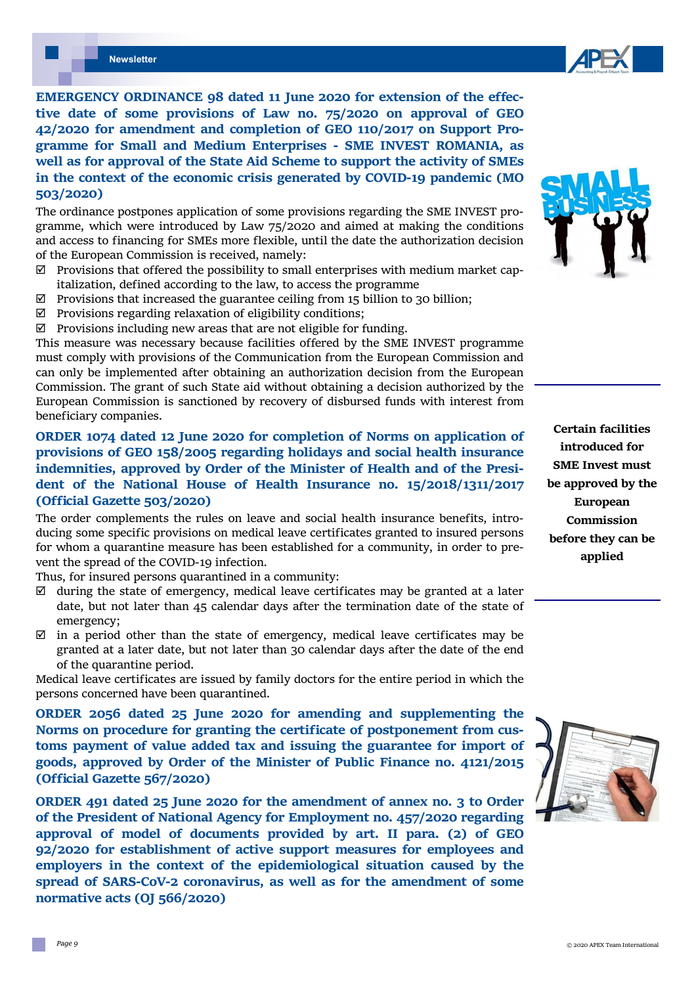*Page 9* 

**EMERGENCY ORDINANCE 98 dated 11 June 2020 for extension of the effec‐ tive date of some provisions of Law no. 75/2020 on approval of GEO 42/2020 for amendment and completion of GEO 110/2017 on Support Pro‐ gramme for Small and Medium Enterprises ‐ SME INVEST ROMANIA, as well as for approval of the State Aid Scheme to support the activity of SMEs in the context of the economic crisis generated by COVID‐19 pandemic (MO 503/2020)** 

The ordinance postpones application of some provisions regarding the SME INVEST programme, which were introduced by Law 75/2020 and aimed at making the conditions and access to financing for SMEs more flexible, until the date the authorization decision of the European Commission is received, namely:

- $\boxtimes$  Provisions that offered the possibility to small enterprises with medium market capitalization, defined according to the law, to access the programme
- $\boxtimes$  Provisions that increased the guarantee ceiling from 15 billion to 30 billion;
- $\boxtimes$  Provisions regarding relaxation of eligibility conditions;
- $\boxtimes$  Provisions including new areas that are not eligible for funding.

This measure was necessary because facilities offered by the SME INVEST programme must comply with provisions of the Communication from the European Commission and can only be implemented after obtaining an authorization decision from the European Commission. The grant of such State aid without obtaining a decision authorized by the European Commission is sanctioned by recovery of disbursed funds with interest from beneficiary companies.

# **ORDER 1074 dated 12 June 2020 for completion of Norms on application of provisions of GEO 158/2005 regarding holidays and social health insurance indemnities, approved by Order of the Minister of Health and of the Presi‐ dent of the National House of Health Insurance no. 15/2018/1311/2017 (Official Gazette 503/2020)**

The order complements the rules on leave and social health insurance benefits, introducing some specific provisions on medical leave certificates granted to insured persons for whom a quarantine measure has been established for a community, in order to prevent the spread of the COVID-19 infection.

Thus, for insured persons quarantined in a community:

- $\boxtimes$  during the state of emergency, medical leave certificates may be granted at a later date, but not later than 45 calendar days after the termination date of the state of emergency;
- $\boxtimes$  in a period other than the state of emergency, medical leave certificates may be granted at a later date, but not later than 30 calendar days after the date of the end of the quarantine period.

Medical leave certificates are issued by family doctors for the entire period in which the persons concerned have been quarantined.

**ORDER 2056 dated 25 June 2020 for amending and supplementing the Norms on procedure for granting the certificate of postponement from cus‐ toms payment of value added tax and issuing the guarantee for import of goods, approved by Order of the Minister of Public Finance no. 4121/2015 (Official Gazette 567/2020)** 

**ORDER 491 dated 25 June 2020 for the amendment of annex no. 3 to Order of the President of National Agency for Employment no. 457/2020 regarding approval of model of documents provided by art. II para. (2) of GEO 92/2020 for establishment of active support measures for employees and employers in the context of the epidemiological situation caused by the spread of SARS‐CoV‐2 coronavirus, as well as for the amendment of some normative acts (OJ 566/2020)** 

**Certain facilities introduced for SME Invest must be approved by the European Commission before they can be applied** 





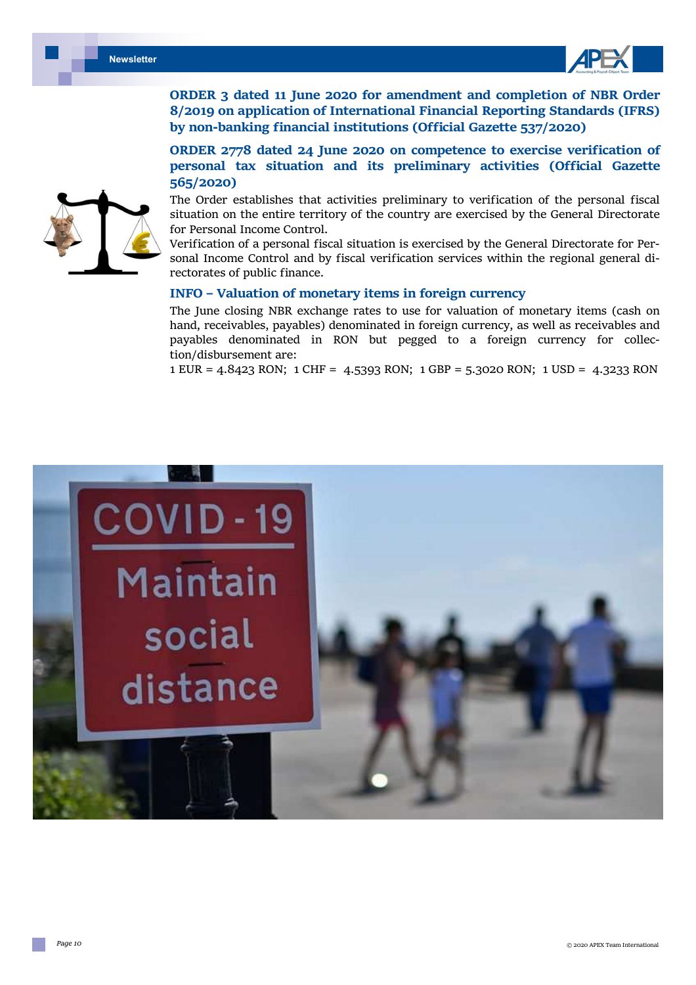



**ORDER 3 dated 11 June 2020 for amendment and completion of NBR Order 8/2019 on application of International Financial Reporting Standards (IFRS) by non‐banking financial institutions (Official Gazette 537/2020)** 

**ORDER 2778 dated 24 June 2020 on competence to exercise verification of personal tax situation and its preliminary activities (Official Gazette 565/2020)** 

The Order establishes that activities preliminary to verification of the personal fiscal situation on the entire territory of the country are exercised by the General Directorate for Personal Income Control.

Verification of a personal fiscal situation is exercised by the General Directorate for Personal Income Control and by fiscal verification services within the regional general directorates of public finance.

#### **INFO – Valuation of monetary items in foreign currency**

The June closing NBR exchange rates to use for valuation of monetary items (cash on hand, receivables, payables) denominated in foreign currency, as well as receivables and payables denominated in RON but pegged to a foreign currency for collection/disbursement are:

1 EUR = 4.8423 RON; 1 CHF = 4.5393 RON; 1 GBP = 5.3020 RON; 1 USD = 4.3233 RON



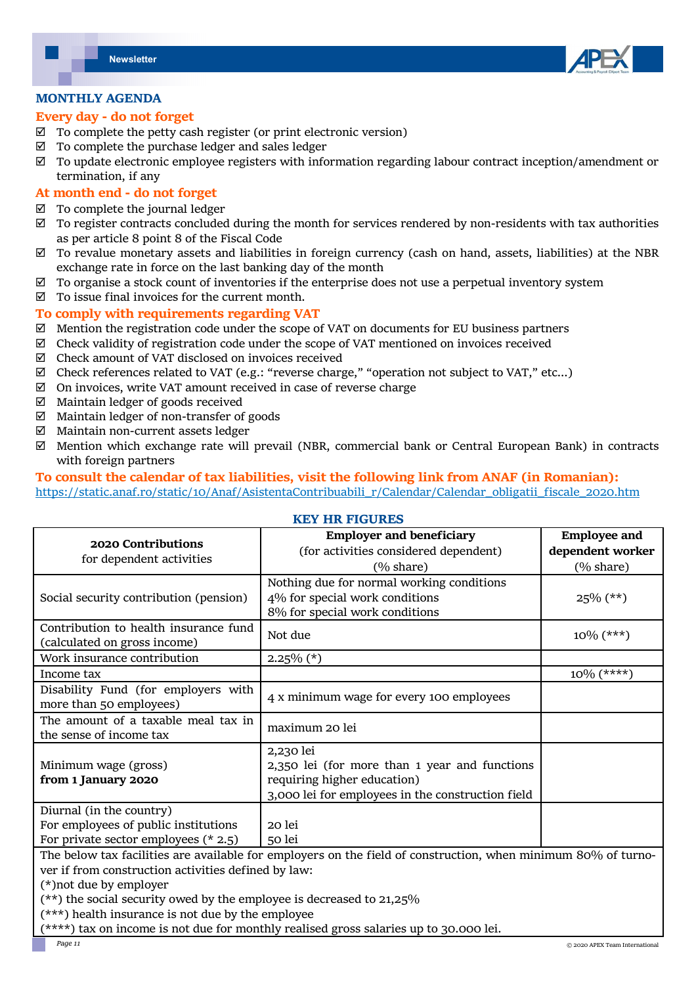

#### **MONTHLY AGENDA**

#### **Every day ‐ do not forget**

- $\boxtimes$  To complete the petty cash register (or print electronic version)
- $\boxtimes$  To complete the purchase ledger and sales ledger
- $\boxtimes$  To update electronic employee registers with information regarding labour contract inception/amendment or termination, if any

#### **At month end ‐ do not forget**

- $\boxtimes$  To complete the journal ledger
- $\boxtimes$  To register contracts concluded during the month for services rendered by non-residents with tax authorities as per article 8 point 8 of the Fiscal Code
- $\boxtimes$  To revalue monetary assets and liabilities in foreign currency (cash on hand, assets, liabilities) at the NBR exchange rate in force on the last banking day of the month
- $\boxtimes$  To organise a stock count of inventories if the enterprise does not use a perpetual inventory system
- $\boxtimes$  To issue final invoices for the current month.

#### **To comply with requirements regarding VAT**

- $\boxtimes$  Mention the registration code under the scope of VAT on documents for EU business partners
- $\boxtimes$  Check validity of registration code under the scope of VAT mentioned on invoices received
- $\boxtimes$  Check amount of VAT disclosed on invoices received
- $\boxtimes$  Check references related to VAT (e.g.: "reverse charge," "operation not subject to VAT," etc...)
- $\boxtimes$  On invoices, write VAT amount received in case of reverse charge
- $\boxtimes$  Maintain ledger of goods received
- $\boxtimes$  Maintain ledger of non-transfer of goods
- $\boxtimes$  Maintain non-current assets ledger
- $\boxtimes$  Mention which exchange rate will prevail (NBR, commercial bank or Central European Bank) in contracts with foreign partners

#### **To consult the calendar of tax liabilities, visit the following link from ANAF (in Romanian):**  https://static.anaf.ro/static/10/Anaf/AsistentaContribuabili\_r/Calendar/Calendar\_obligatii\_fiscale\_2020.htm

## **KEY HR FIGURES**

| 2020 Contributions<br>for dependent activities                                                                | <b>Employer and beneficiary</b>                   | <b>Employee and</b>  |
|---------------------------------------------------------------------------------------------------------------|---------------------------------------------------|----------------------|
|                                                                                                               | (for activities considered dependent)             | dependent worker     |
|                                                                                                               | $(\% \text{ share})$                              | $(\% \text{ share})$ |
| Social security contribution (pension)                                                                        | Nothing due for normal working conditions         |                      |
|                                                                                                               | 4% for special work conditions                    | $25\%$ (**)          |
|                                                                                                               | 8% for special work conditions                    |                      |
| Contribution to health insurance fund                                                                         | Not due                                           | $10\%$ (***)         |
| (calculated on gross income)                                                                                  |                                                   |                      |
| Work insurance contribution                                                                                   | $2.25\%$ (*)                                      |                      |
| Income tax                                                                                                    |                                                   | $10\%$ (****)        |
| Disability Fund (for employers with                                                                           | 4 x minimum wage for every 100 employees          |                      |
| more than 50 employees)                                                                                       |                                                   |                      |
| The amount of a taxable meal tax in                                                                           | maximum 20 lei                                    |                      |
| the sense of income tax                                                                                       |                                                   |                      |
|                                                                                                               | 2,230 lei                                         |                      |
| Minimum wage (gross)                                                                                          | 2,350 lei (for more than 1 year and functions     |                      |
| from 1 January 2020                                                                                           | requiring higher education)                       |                      |
|                                                                                                               | 3,000 lei for employees in the construction field |                      |
| Diurnal (in the country)                                                                                      |                                                   |                      |
| For employees of public institutions                                                                          | 20 lei                                            |                      |
| For private sector employees $(* 2.5)$                                                                        | 50 lei                                            |                      |
| The below tax facilities are available for employers on the field of construction, when minimum 80% of turno- |                                                   |                      |
| ver if from construction activities defined by law:                                                           |                                                   |                      |
| (*) not due by employer                                                                                       |                                                   |                      |
| $(\star \star)$ the social security owed by the employee is decreased to 21 $25\%$                            |                                                   |                      |

 $\mathrm{d}$  security owed by the employee is decreased to 21,25%:

(\*\*\*) health insurance is not due by the employee

(\*\*\*\*) tax on income is not due for monthly realised gross salaries up to 30.000 lei.